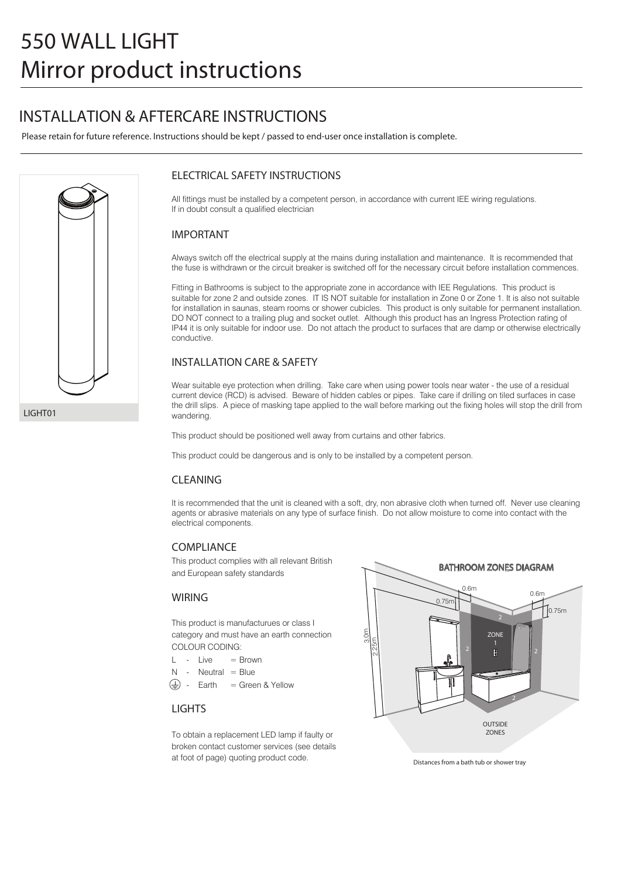## **INSTALLATION & AFTERCARE INSTRUCTIONS**

Please retain for future reference. Instructions should be kept / passed to end-user once installation is complete.



#### **ELECTRICAL SAFETY INSTRUCTIONS**

All fittings must be installed by a competent person, in accordance with current IEE wiring regulations. If in doubt consult a qualified electrician

#### **IMPORTANT**

Always switch off the electrical supply at the mains during installation and maintenance. It is recommended that the fuse is withdrawn or the circuit breaker is switched off for the necessary circuit before installation commences.

Fitting in Bathrooms is subject to the appropriate zone in accordance with IEE Regulations. This product is suitable for zone 2 and outside zones. IT IS NOT suitable for installation in Zone 0 or Zone 1. It is also not suitable for installation in saunas, steam rooms or shower cubicles. This product is only suitable for permanent installation. DO NOT connect to a trailing plug and socket outlet. Although this product has an Ingress Protection rating of IP44 it is only suitable for indoor use. Do not attach the product to surfaces that are damp or otherwise electrically conductive.

#### **INSTALLATION CARE & SAFETY**

Wear suitable eye protection when drilling. Take care when using power tools near water - the use of a residual current device (RCD) is advised. Beware of hidden cables or pipes. Take care if drilling on tiled surfaces in case the drill slips. A piece of masking tape applied to the wall before marking out the fixing holes will stop the drill from wandering.

This product should be positioned well away from curtains and other fabrics.

This product could be dangerous and is only to be installed by a competent person.

#### **CLEANING**

It is recommended that the unit is cleaned with a soft, dry, non abrasive cloth when turned off. Never use cleaning agents or abrasive materials on any type of surface finish. Do not allow moisture to come into contact with the electrical components.

#### **COMPLIANCE**

This product complies with all relevant British and European safety standards

#### **WIRING**

This product is manufacturues or class I category and must have an earth connection COLOUR CODING:

- $L = \lim_{n \to \infty} \frac{1}{n}$
- $N -$  Neutral = Blue
- $\text{Earth} = \text{Green} \& \text{Yellow}$

#### **LIGHTS**

To obtain a replacement LED lamp if faulty or broken contact customer services (see details at foot of page) quoting product code.



Distances from a bath tub or shower tray